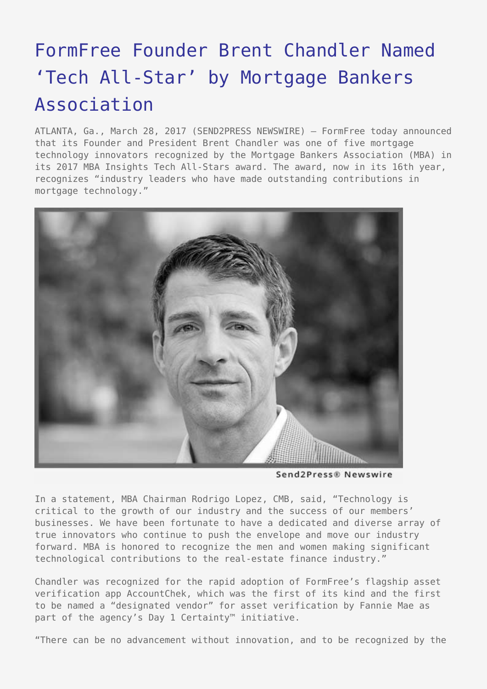## [FormFree Founder Brent Chandler Named](https://www.send2press.com/wire/formfree-founder-brent-chandler-named-tech-all-star-by-mortgage-bankers-association/) ['Tech All-Star' by Mortgage Bankers](https://www.send2press.com/wire/formfree-founder-brent-chandler-named-tech-all-star-by-mortgage-bankers-association/) [Association](https://www.send2press.com/wire/formfree-founder-brent-chandler-named-tech-all-star-by-mortgage-bankers-association/)

ATLANTA, Ga., March 28, 2017 (SEND2PRESS NEWSWIRE) — FormFree today announced that its Founder and President Brent Chandler was one of five mortgage technology innovators recognized by the Mortgage Bankers Association (MBA) in its 2017 MBA Insights Tech All-Stars award. The award, now in its 16th year, recognizes "industry leaders who have made outstanding contributions in mortgage technology."



Send2Press® Newswire

In a statement, MBA Chairman Rodrigo Lopez, CMB, said, "Technology is critical to the growth of our industry and the success of our members' businesses. We have been fortunate to have a dedicated and diverse array of true innovators who continue to push the envelope and move our industry forward. MBA is honored to recognize the men and women making significant technological contributions to the real-estate finance industry."

Chandler was recognized for the rapid adoption of FormFree's flagship asset verification app AccountChek, which was the first of its kind and the first to be named a "designated vendor" for asset verification by Fannie Mae as part of the agency's Day 1 Certainty™ initiative.

"There can be no advancement without innovation, and to be recognized by the